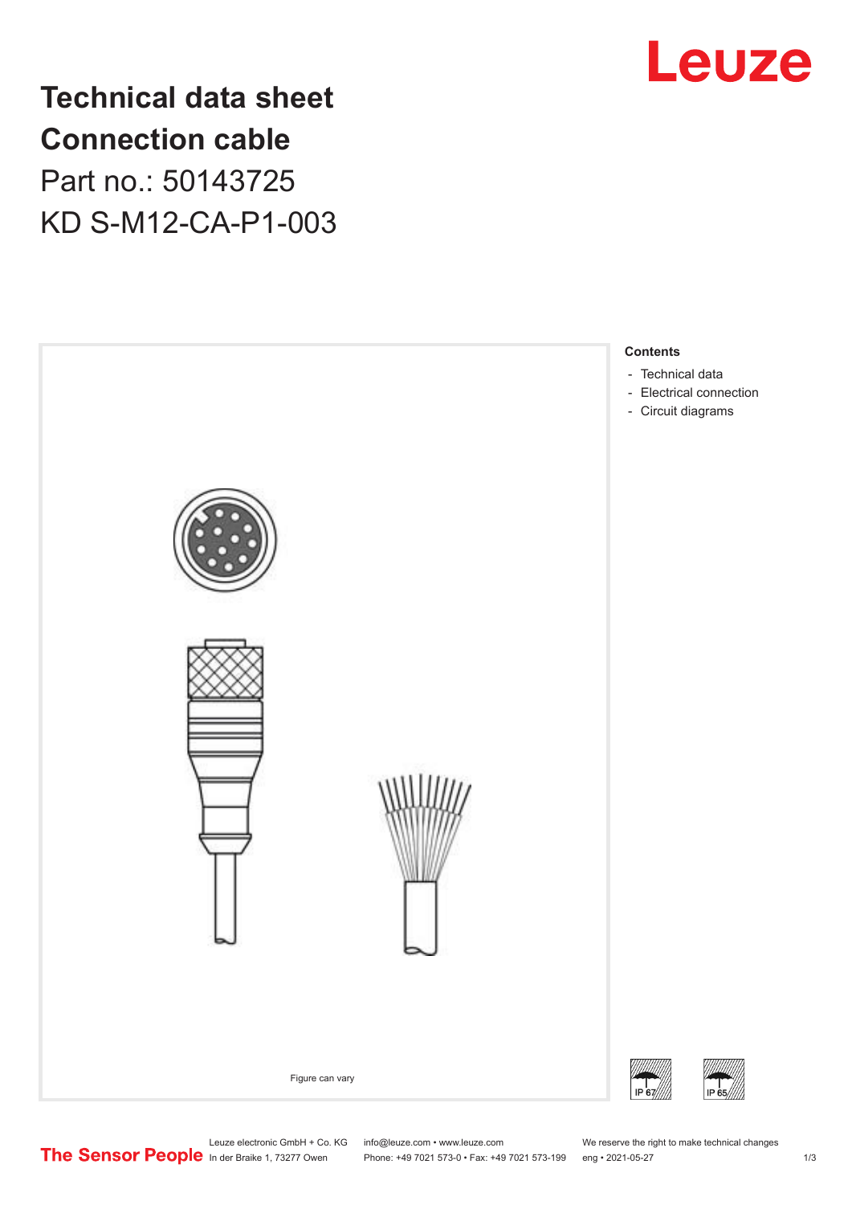

**Technical data sheet Connection cable** Part no.: 50143725 KD S-M12-CA-P1-003



Leuze electronic GmbH + Co. KG info@leuze.com • www.leuze.com We reserve the right to make technical changes<br>
The Sensor People in der Braike 1, 73277 Owen Phone: +49 7021 573-0 • Fax: +49 7021 573-199 eng • 2021-05-27

Phone: +49 7021 573-0 • Fax: +49 7021 573-199 eng • 2021-05-27 1 2021-05-27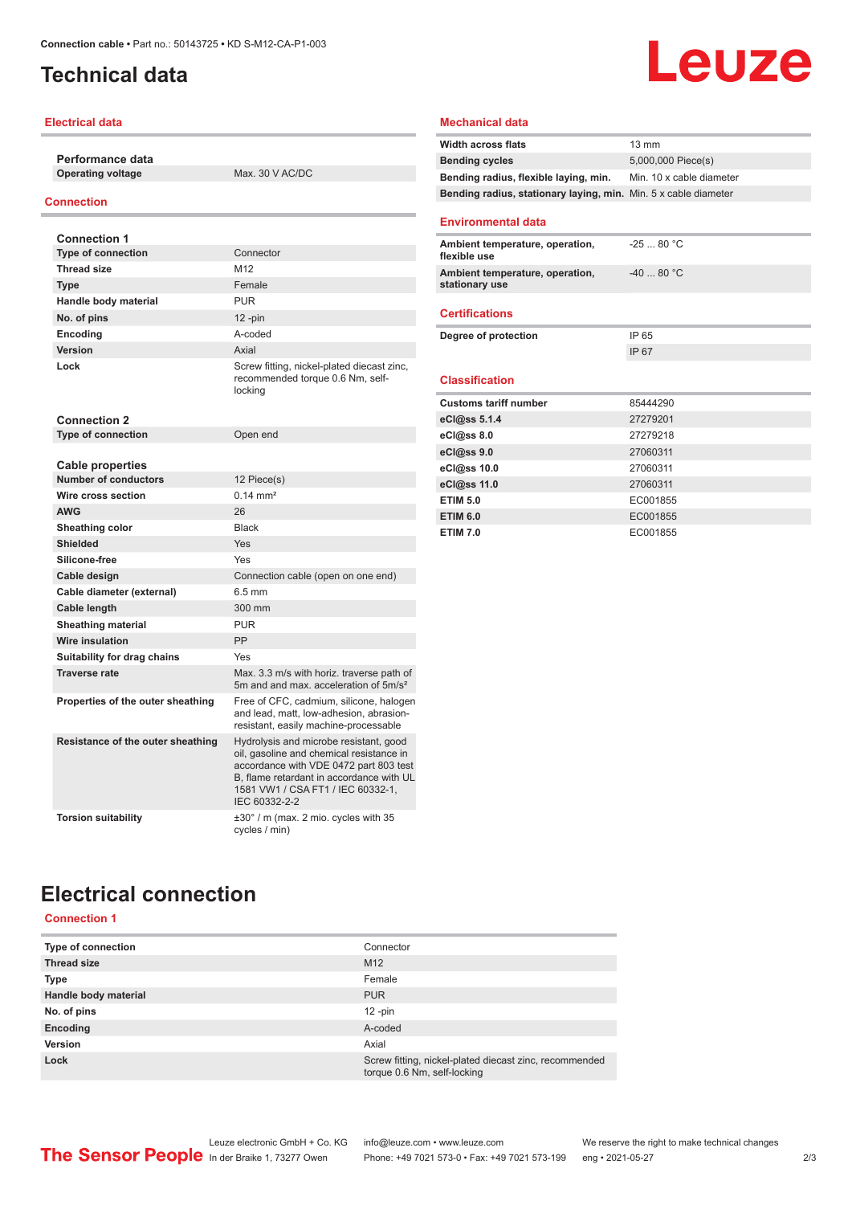## <span id="page-1-0"></span>**Technical data**

#### **Electrical data**

**Performance data Operating voltage** Max. 30 V AC/DC

#### **Connection**

| <b>Connection 1</b>               |                                                                                                                                                                                                                                |
|-----------------------------------|--------------------------------------------------------------------------------------------------------------------------------------------------------------------------------------------------------------------------------|
| <b>Type of connection</b>         | Connector                                                                                                                                                                                                                      |
| <b>Thread size</b>                | M12                                                                                                                                                                                                                            |
| <b>Type</b>                       | Female                                                                                                                                                                                                                         |
| Handle body material              | <b>PUR</b>                                                                                                                                                                                                                     |
| No. of pins                       | $12$ -pin                                                                                                                                                                                                                      |
| <b>Encoding</b>                   | hehon-A                                                                                                                                                                                                                        |
| Version                           | Axial                                                                                                                                                                                                                          |
| Lock                              | Screw fitting, nickel-plated diecast zinc,<br>recommended torque 0.6 Nm, self-<br>locking                                                                                                                                      |
| <b>Connection 2</b>               |                                                                                                                                                                                                                                |
| <b>Type of connection</b>         | Open end                                                                                                                                                                                                                       |
|                                   |                                                                                                                                                                                                                                |
| Cable properties                  |                                                                                                                                                                                                                                |
| <b>Number of conductors</b>       | 12 Piece(s)                                                                                                                                                                                                                    |
| Wire cross section                | $0.14 \, \text{mm}^2$                                                                                                                                                                                                          |
| <b>AWG</b>                        | 26                                                                                                                                                                                                                             |
| Sheathing color                   | <b>Black</b>                                                                                                                                                                                                                   |
| <b>Shielded</b>                   | Yes                                                                                                                                                                                                                            |
| Silicone-free                     | Yes                                                                                                                                                                                                                            |
| Cable design                      | Connection cable (open on one end)                                                                                                                                                                                             |
| Cable diameter (external)         | $6.5 \text{ mm}$                                                                                                                                                                                                               |
| Cable length                      | 300 mm                                                                                                                                                                                                                         |
| <b>Sheathing material</b>         | <b>PUR</b>                                                                                                                                                                                                                     |
| <b>Wire insulation</b>            | PP                                                                                                                                                                                                                             |
| Suitability for drag chains       | Yes                                                                                                                                                                                                                            |
| Traverse rate                     | Max. 3.3 m/s with horiz. traverse path of<br>5m and and max, acceleration of 5m/s <sup>2</sup>                                                                                                                                 |
| Properties of the outer sheathing | Free of CFC, cadmium, silicone, halogen<br>and lead, matt, low-adhesion, abrasion-<br>resistant, easily machine-processable                                                                                                    |
| Resistance of the outer sheathing | Hydrolysis and microbe resistant, good<br>oil, gasoline and chemical resistance in<br>accordance with VDE 0472 part 803 test<br>B. flame retardant in accordance with UL<br>1581 VW1 / CSA FT1 / IEC 60332-1.<br>IEC 60332-2-2 |
| <b>Torsion suitability</b>        | $\pm 30^\circ$ / m (max. 2 mio. cycles with 35<br>cycles / min)                                                                                                                                                                |

#### **Mechanical data**

| <b>Width across flats</b>                                       | $13 \text{ mm}$          |
|-----------------------------------------------------------------|--------------------------|
| <b>Bending cycles</b>                                           | 5,000,000 Piece(s)       |
| Bending radius, flexible laying, min.                           | Min. 10 x cable diameter |
| Bending radius, stationary laying, min. Min. 5 x cable diameter |                          |
| <b>Environmental data</b>                                       |                          |
| Ambient temperature, operation,<br>flexible use                 | $-2580 °C$               |
| Ambient temperature, operation,<br>stationary use               | $-4080 °C$               |
| <b>Certifications</b>                                           |                          |
| Degree of protection                                            | IP 65                    |
|                                                                 | IP 67                    |
|                                                                 |                          |
| <b>Classification</b>                                           |                          |
| <b>Customs tariff number</b>                                    | 85444290                 |
| eCl@ss 5.1.4                                                    | 27279201                 |
| eCl@ss 8.0                                                      | 27279218                 |
| eCl@ss 9.0                                                      | 27060311                 |
| eCl@ss 10.0                                                     | 27060311                 |
| eCl@ss 11.0                                                     | 27060311                 |
| <b>ETIM 5.0</b>                                                 | EC001855                 |
| <b>ETIM 6.0</b>                                                 | EC001855                 |
| <b>ETIM 7.0</b>                                                 | EC001855                 |

Leuze

# **Electrical connection**

### **Connection 1**

| Type of connection   | Connector                                                                             |
|----------------------|---------------------------------------------------------------------------------------|
| <b>Thread size</b>   | M <sub>12</sub>                                                                       |
| <b>Type</b>          | Female                                                                                |
| Handle body material | <b>PUR</b>                                                                            |
| No. of pins          | $12$ -pin                                                                             |
| Encoding             | A-coded                                                                               |
| Version              | Axial                                                                                 |
| Lock                 | Screw fitting, nickel-plated diecast zinc, recommended<br>torque 0.6 Nm, self-locking |